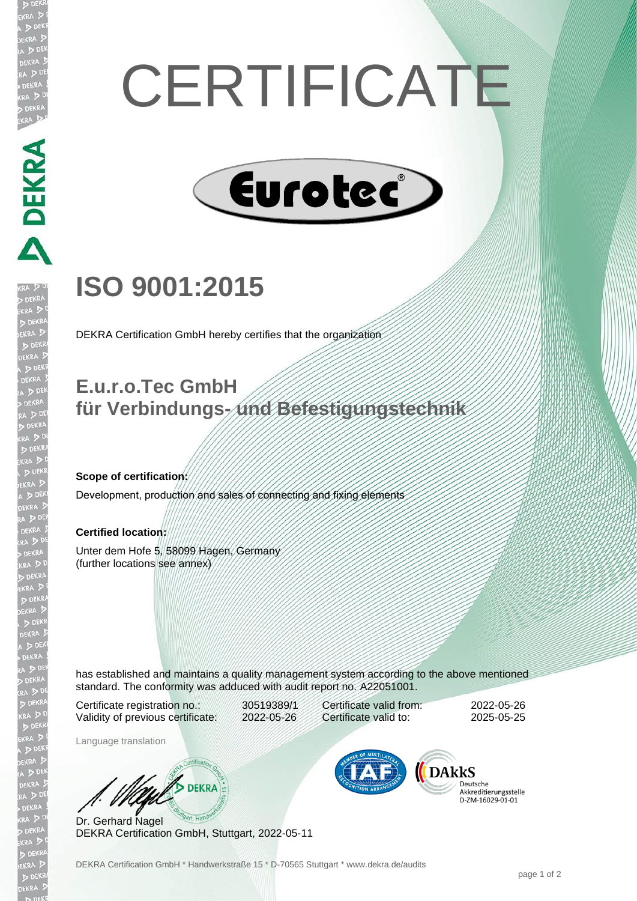# **CERTIFICATE**



## **ISO 9001:2015**

DEKRA Certification GmbH hereby certifies that the organization

### **E.u.r.o.Tec GmbH für Verbindungs- und Befestigungstechnik**

#### **Scope of certification:**

**DEKRA PRE** 

Development, production and sales of connecting and fixing elements

#### **Certified location:**

Unter dem Hofe 5, 58099 Hagen, Germany (further locations see annex)

has established and maintains a quality management system according to the above mentioned standard. The conformity was adduced with audit report no. A22051001.

Certificate registration no.: 30519389/1 Validity of previous certificate: 2022-05-26

Language translation

Certificate valid from: 2022-05-26 Certificate valid to: 2025-05-25

DARKS

Deutsche Akkreditierungsstelle 

W/ DEKRA Dr. Gerhard Nagel DEKRA Certification GmbH, Stuttgart, 2022-05-11

DEKRA Certification GmbH \* Handwerkstraße 15 \* D-70565 Stuttgart \* www.dekra.de/audits